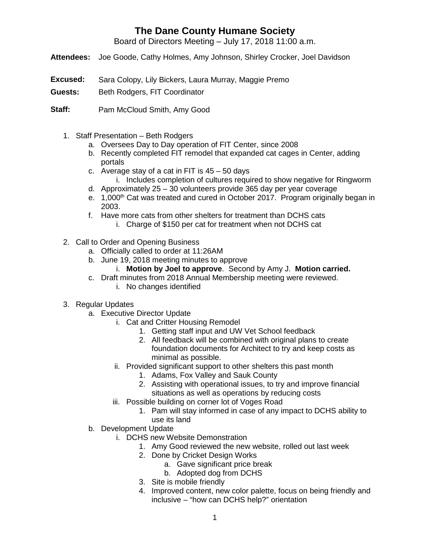## **The Dane County Humane Society**

Board of Directors Meeting – July 17, 2018 11:00 a.m.

- **Attendees:** Joe Goode, Cathy Holmes, Amy Johnson, Shirley Crocker, Joel Davidson
- **Excused:** Sara Colopy, Lily Bickers, Laura Murray, Maggie Premo
- **Guests:** Beth Rodgers, FIT Coordinator
- **Staff:** Pam McCloud Smith, Amy Good
	- 1. Staff Presentation Beth Rodgers
		- a. Oversees Day to Day operation of FIT Center, since 2008
		- b. Recently completed FIT remodel that expanded cat cages in Center, adding portals
		- c. Average stay of a cat in FIT is  $45 50$  days
			- i. Includes completion of cultures required to show negative for Ringworm
		- d. Approximately 25 30 volunteers provide 365 day per year coverage
		- e. 1,000<sup>th</sup> Cat was treated and cured in October 2017. Program originally began in 2003.
		- f. Have more cats from other shelters for treatment than DCHS cats
			- i. Charge of \$150 per cat for treatment when not DCHS cat
	- 2. Call to Order and Opening Business
		- a. Officially called to order at 11:26AM
		- b. June 19, 2018 meeting minutes to approve
			- i. **Motion by Joel to approve**. Second by Amy J. **Motion carried.**
		- c. Draft minutes from 2018 Annual Membership meeting were reviewed. i. No changes identified
	- 3. Regular Updates
		- a. Executive Director Update
			- i. Cat and Critter Housing Remodel
				- 1. Getting staff input and UW Vet School feedback
				- 2. All feedback will be combined with original plans to create foundation documents for Architect to try and keep costs as minimal as possible.
			- ii. Provided significant support to other shelters this past month
				- 1. Adams, Fox Valley and Sauk County
				- 2. Assisting with operational issues, to try and improve financial situations as well as operations by reducing costs
			- iii. Possible building on corner lot of Voges Road
				- 1. Pam will stay informed in case of any impact to DCHS ability to use its land
		- b. Development Update
			- i. DCHS new Website Demonstration
				- 1. Amy Good reviewed the new website, rolled out last week
				- 2. Done by Cricket Design Works
					- a. Gave significant price break
					- b. Adopted dog from DCHS
				- 3. Site is mobile friendly
				- 4. Improved content, new color palette, focus on being friendly and inclusive – "how can DCHS help?" orientation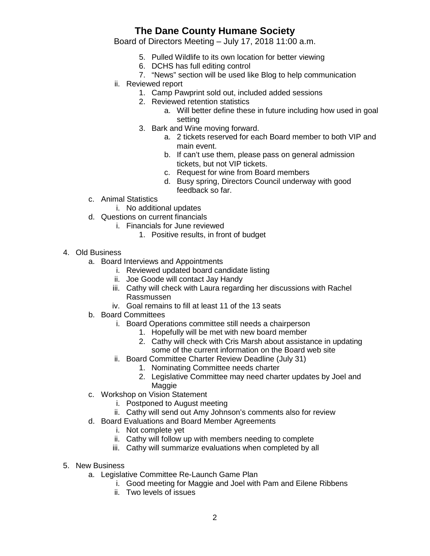## **The Dane County Humane Society**

Board of Directors Meeting – July 17, 2018 11:00 a.m.

- 5. Pulled Wildlife to its own location for better viewing
- 6. DCHS has full editing control
- 7. "News" section will be used like Blog to help communication
- ii. Reviewed report
	- 1. Camp Pawprint sold out, included added sessions
	- 2. Reviewed retention statistics
		- a. Will better define these in future including how used in goal setting
	- 3. Bark and Wine moving forward.
		- a. 2 tickets reserved for each Board member to both VIP and main event.
		- b. If can't use them, please pass on general admission tickets, but not VIP tickets.
		- c. Request for wine from Board members
		- d. Busy spring, Directors Council underway with good feedback so far.
- c. Animal Statistics
	- i. No additional updates
- d. Questions on current financials
	- i. Financials for June reviewed
		- 1. Positive results, in front of budget
- 4. Old Business
	- a. Board Interviews and Appointments
		- i. Reviewed updated board candidate listing
		- ii. Joe Goode will contact Jay Handy
		- iii. Cathy will check with Laura regarding her discussions with Rachel Rassmussen
		- iv. Goal remains to fill at least 11 of the 13 seats
	- b. Board Committees
		- i. Board Operations committee still needs a chairperson
			- 1. Hopefully will be met with new board member
			- 2. Cathy will check with Cris Marsh about assistance in updating some of the current information on the Board web site
		- ii. Board Committee Charter Review Deadline (July 31)
			- 1. Nominating Committee needs charter
			- 2. Legislative Committee may need charter updates by Joel and Maggie
	- c. Workshop on Vision Statement
		- i. Postponed to August meeting
		- ii. Cathy will send out Amy Johnson's comments also for review
	- d. Board Evaluations and Board Member Agreements
		- i. Not complete yet
		- ii. Cathy will follow up with members needing to complete
		- iii. Cathy will summarize evaluations when completed by all
- 5. New Business
	- a. Legislative Committee Re-Launch Game Plan
		- i. Good meeting for Maggie and Joel with Pam and Eilene Ribbens
		- ii. Two levels of issues